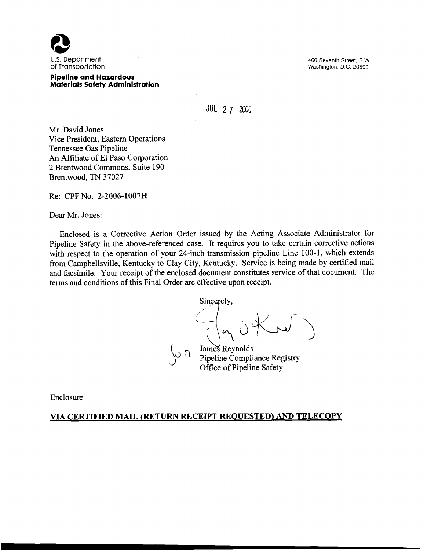

#### **Pipeline and Hazardous Materials Safety Administration**

400 Seventh Street, S.W. Washington, D.C. 20590

# JUL 2 **7** 2006

Mr. David Jones Vice President, Eastern Operations Tennessee Gas Pipeline **An** Affiliate of El Paso Corporation 2 Brentwood Commons, Suite 190 Brentwood, TN 37027

Re: CPF No. **2-2006-3 007** H

Dear Mr. Jones:

Enclosed is a Corrective Action Order issued by the Acting Associate Administrator for Pipeline Safety in the above-referenced case. It requires you to take certain corrective actions with respect to the operation of your 24-inch transmission pipeline Line 100-1, which extends from Campbellsville, Kentucky to Clay City, Kentucky. Service is being made by certified mail and facsimile. Your receipt of the enclosed document constitutes service of that document. The terms and conditions of this Final Order are effective upon receipt.

Sincerely,

James Reynolds<br>Pipeline Compliance Registry Office of Pipeline Safety

Enclosure

#### **VIA CERTIFIED MAIL (RETURN RECEIPT REQUESTED) AND TELECOPY**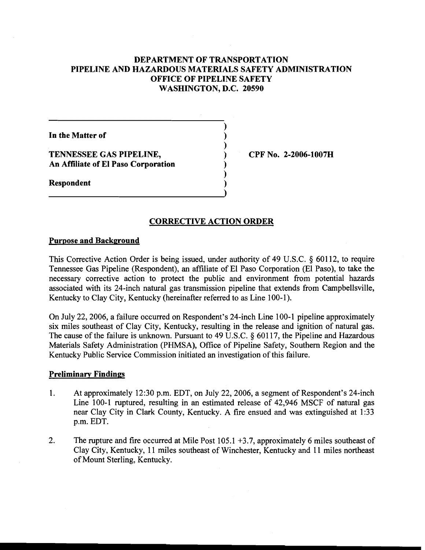# **DEPARTMENT OF TRANSPORTATION PIPELINE AND HAZARDOUS MATERIALS SAFETY ADMINISTRATION OFFICE OF PIPELINE SAFETY WASHINGTON, D.C. 20590**

**In the Matter of** 

**Respondent** 

**TENNESSEE GAS PIPELINE,**  $\qquad \qquad$  **(PF No. 2-2006-1007H) An Affiliate of El Paso Corporation** 

# **CORRECTIVE ACTION ORDER**

**1** 

Ì

 $\lambda$ 

Ì

#### **Purpose and Background**

This Corrective Action Order is being issued, under authority of 49 U.S.C. *5* 601 12, to require Tennessee Gas Pipeline (Respondent), an affiliate of El Paso Corporation (El Paso), to take the necessary corrective action to protect the public and environment from potential hazards associated with its 24-inch natural gas transmission pipeline that extends from Campbellsville, Kentucky to Clay City, Kentucky (hereinafter referred to as Line 100-1).

On July 22,2006, a failure occurred on Respondent's 24-inch Line 100-1 pipeline approximately six miles southeast of Clay City, Kentucky, resulting in the release and ignition of natural gas. The cause of the failure is unknown. Pursuant to 49 U.S.C.  $\delta$  60117, the Pipeline and Hazardous Materials Safety Administration (PHMSA), Office of Pipeline Safety, Southern Region and the Kentucky Public Service Commission initiated an investigation of this failure.

#### **Preliminarv Findings**

- 1. At approximately 12:30 p.m. EDT, on July 22,2006, a segment of Respondent's 24-inch Line 100-1 ruptured, resulting in an estimated release of 42,946 MSCF of natural gas near Clay City in Clark County, Kentucky. A fire ensued and was extinguished at 1:33 p.m. EDT.
- 2. The rupture and fire occurred at Mile Post 105.1 +3.7, approximately 6 miles southeast of Clay City, Kentucky, 11 miles southeast of Winchester, Kentucky and 11 miles northeast of Mount Sterling, Kentucky.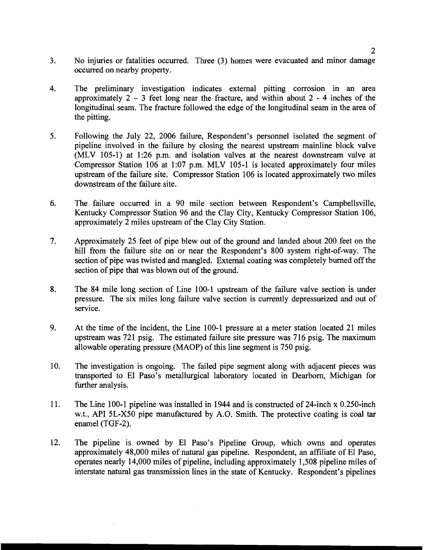- $3<sub>1</sub>$ No injuries or fatalities occurred. Three (3) homes were evacuated and minor damage occurred on nearby property.
- $4<sup>1</sup>$ The preliminary investigation indicates external pitting corrosion in an area approximately  $2 - 3$  feet long near the fracture, and within about  $2 - 4$  inches of the longitudinal seam. The fracture followed the edge of the longitudinal seam in the area of the pitting.
- $5<sub>1</sub>$ Following the July 22, 2006 failure, Respondent's personnel isolated the segment of pipeline involved in the failure by closing the nearest upstream mainline block valve (MLV 105-1) at 1:26 p.m. and isolation valves at the nearest downstream valve at Compressor Station 106 at 1:07 p.m. MLV 105-1 is located approximately four miles upstream of the failure site. Compressor Station 106 is located approximately two miles downstream of the failure site.
- 6. The failure occurred in a 90 mile section between Respondent's Campbellsville, Kentucky Compressor Station 96 and the Clay City, Kentucky Compressor Station 106, approximately 2 miles upstream of the Clay City Station.
- $7.$ Approximately 25 feet of pipe blew out of the ground and landed about 200 feet on the hill from the failure site on or near the Respondent's 800 system right-of-way. The section of pipe was twisted and mangled. External coating was completely burned off the section of pipe that was blown out of the ground.
- 8. The 84 mile long section of Line 100-1 upstream of the failure valve section is under pressure. The six miles long failure valve section is currently depressurized and out of service.
- 9. At the time of the incident, the Line 100-1 pressure at a meter station located 21 miles upstream was 721 psig. The estimated failure site pressure was 716 psig. The maximum allowable operating pressure (MAOP) of this line segment is 750 psig.
- $10.$ The investigation is ongoing. The failed pipe segment along with adjacent pieces was transported to El Paso's metallurgical laboratory located in Dearborn, Michigan for further analysis.
- 11. The Line 100-1 pipeline was installed in 1944 and is constructed of 24-inch x 0.250-inch w.t., API 5L-X50 pipe manufactured by A.O. Smith. The protective coating is coal tar enamel (TGF-2).
- $12.$ The pipeline is owned by El Paso's Pipeline Group, which owns and operates approximately 48,000 miles of natural gas pipeline. Respondent, an affiliate of El Paso, operates nearly 14,000 miles of pipeline, including approximately 1,508 pipeline miles of interstate natural gas transmission lines in the state of Kentucky. Respondent's pipelines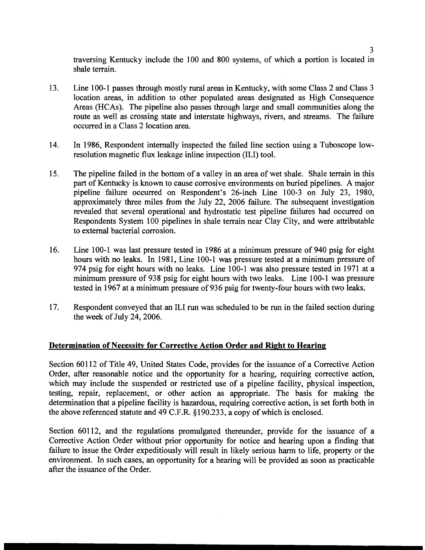traversing Kentucky include the 100 and 800 systems, of which a portion is located in shale terrain.

- 13. Line 100-1 passes through mostly rural areas in Kentucky, with some Class 2 and Class 3 location areas, in addition to other populated areas designated as High Consequence Areas (HCAs). The pipeline also passes through large and small communities along the route as well as crossing state and interstate highways, rivers, and streams. The failure occurred in a Class 2 location area.
- 14. In 1986, Respondent internally inspected the failed line section using a Tuboscope lowresolution magnetic flux leakage inline inspection (ILI) tool.
- 15. The pipeline failed in the bottom of a valley in an area of wet shale. Shale terrain in this part of Kentucky is known to cause corrosive environments on buried pipelines. A major pipeline failure occurred on Respondent's 26-inch Line 100-3 on July 23, 1980, approximately three miles from the July 22, 2006 failure. The subsequent investigation revealed that several operational and hydrostatic test pipeline failures had occurred on Respondents System 100 pipelines in shale terrain near Clay City, and were attributable to external bacterial corrosion.
- 16. Line 100-1 was last pressure tested in 1986 at a minimum pressure of 940 psig for eight hours with no leaks. In 1981, Line 100-1 was pressure tested at a minimum pressure of 974 psig for eight hours with no leaks. Line 100-1 was also pressure tested in 1971 at a minimum pressure of 938 psig for eight hours with two leaks. Line 100-1 was pressure tested in 1967 at a minimum pressure of 936 psig for twenty-four hours with two leaks.
- 17. Respondent conveyed that an ILI run was scheduled to be run in the failed section during the week of July 24,2006.

# **Determination of Necessity for Corrective Action Order and Right to Hearing**

Section 60112 of Title 49, United States Code, provides for the issuance of a Corrective Action Order, after reasonable notice and the opportunity for a hearing, requiring corrective action, which may include the suspended or restricted use of a pipeline facility, physical inspection, testing, repair, replacement, or other action as appropriate. The basis for making the determination that a pipeline facility is hazardous, requiring corrective action, is set forth both in the above referenced statute and 49 C.F.R. 8190.233, a copy of which is enclosed.

Section 60112, and the regulations promulgated thereunder, provide for the issuance of a Corrective Action Order without prior opportunity for notice and hearing upon a finding that failure to issue the Order expeditiously will result in likely serious harm to life, property or the environment. In such cases, an opportunity for a hearing will be provided as soon as practicable after the issuance of the Order.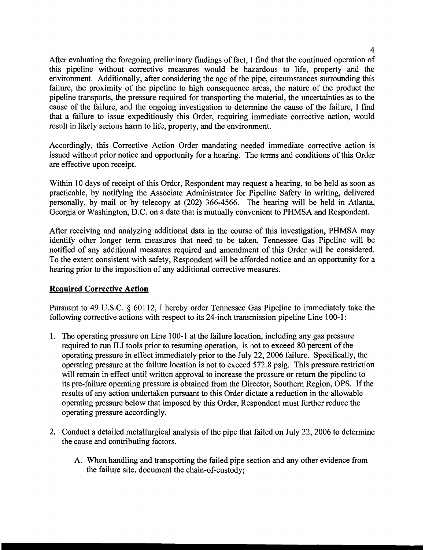After evaluating the foregoing preliminary findings of fact, I find that the continued operation of this pipeline without corrective measures would be hazardous to life, property and the environment. Additionally, after considering the age of the pipe, circumstances surrounding this failure, the proximity of the pipeline to high consequence areas, the nature of the product the pipeline transports, the pressure required for transporting the material, the uncertainties as to the cause of the failure, and the ongoing investigation to determine the cause of the failure, I find that a failure to issue expeditiously this Order, requiring immediate corrective action, would result in likely serious harm to life, property, and the environment.

Accordingly, this Corrective Action Order mandating needed immediate corrective action is issued without prior notice and opportunity for a hearing. The terms and conditions of this Order are effective upon receipt.

Within 10 days of receipt of this Order, Respondent may request a hearing, to be held as soon as practicable, by notifying the Associate Administrator for Pipeline Safety in writing, delivered personally, by mail or by telecopy at (202) 366-4566. The hearing will be held in Atlanta, Georgia or Washington, D.C. on a date that is mutually convenient to PHMSA and Respondent.

After receiving and analyzing additional data in the course of this investigation, PHMSA may identify other longer term measures that need to be taken. Tennessee Gas Pipeline will be notified of any additional measures required and amendment of this Order will be considered. To the extent consistent with safety, Respondent will be afforded notice and an opportunity for a hearing prior to the imposition of any additional corrective measures.

# **Required Corrective Action**

Pursuant to 49 U.S.C. *5* 601 12, I hereby order Tennessee Gas Pipeline to immediately take the following corrective actions with respect to its 24-inch transmission pipeline Line 100-1:

- 1. The operating pressure on Line 100-1 at the failure location, including any gas pressure required to run ILI tools prior to resuming operation, is not to exceed 80 percent of the operating pressure in effect immediately prior to the July 22,2006 failure. Specifically, the operating pressure at the failure location is not to exceed 572.8 psig. This pressure restriction will remain in effect until written approval to increase the pressure or return the pipeline to its pre-failure operating pressure is obtained from the Director, Southern Region, OPS. If the results of any action undertaken pursuant to this Order dictate a reduction in the allowable operating pressure below that imposed by this Order, Respondent must further reduce the operating pressure accordingly.
- 2. Conduct a detailed metallurgical analysis of the pipe that failed on July 22,2006 to determine the cause and contributing factors.
	- A. When handling and transporting the failed pipe section and any other evidence from the failure site, document the chain-of-custody;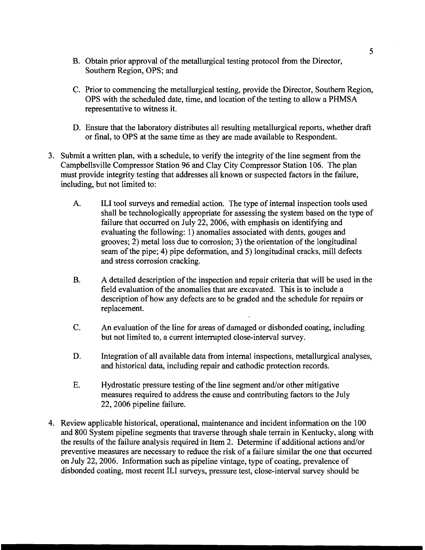- B. Obtain prior approval of the metallurgical testing protocol from the Director, Southern Region, OPS; and
- C. Prior to commencing the metallurgical testing, provide the Director, Southern Region, OPS with the scheduled date, time, and location of the testing to allow a PHMSA representative to witness it.
- D. Ensure that the laboratory distributes all resulting metallurgical reports, whether draft or final, to OPS at the same time as they are made available to Respondent.
- 3. Submit a written plan, with a schedule, to verify the integrity of the line segment from the Campbellsville Compressor Station 96 and Clay City Compressor Station 106. The plan must provide integrity testing that addresses all known or suspected factors in the failure, including, but not limited to:
	- A. ILI tool surveys and remedial action. The type of internal inspection tools used shall be technologically appropriate for assessing the system based on the type of failure that occurred on July 22,2006, with emphasis on identifying and evaluating the following: 1) anomalies associated with dents, gouges and grooves; 2) metal loss due to corrosion; 3) the orientation of the longitudinal seam of the pipe; 4) pipe deformation, and 5) longitudinal cracks, mill defects and stress corrosion cracking.
	- B. A detailed description of the inspection and repair criteria that will be used in the field evaluation of the anomalies that are excavated. This is to include a description of how any defects are to be graded and the schedule for repairs or replacement.
	- C. An evaluation of the line for areas of damaged or disbonded coating, including but not limited to, a current interrupted close-interval survey.
	- D. Integration of all available data from internal inspections, metallurgical analyses, and historical data, including repair and cathodic protection records.
	- E. Hydrostatic pressure testing of the line segment and/or other mitigative measures required to address the cause and contributing factors to the July 22,2006 pipeline failure.
- 4. Review applicable historical, operational, maintenance and incident information on the 100 and 800 System pipeline segments that traverse through shale terrain in Kentucky, along with the results of the failure analysis required in Item 2. Determine if additional actions and/or preventive measures are necessary to reduce the risk of a failure similar the one that occurred on July 22,2006. Information such as pipeline vintage, type of coating, prevalence of disbonded coating, most recent ILI surveys, pressure test, close-interval survey should be